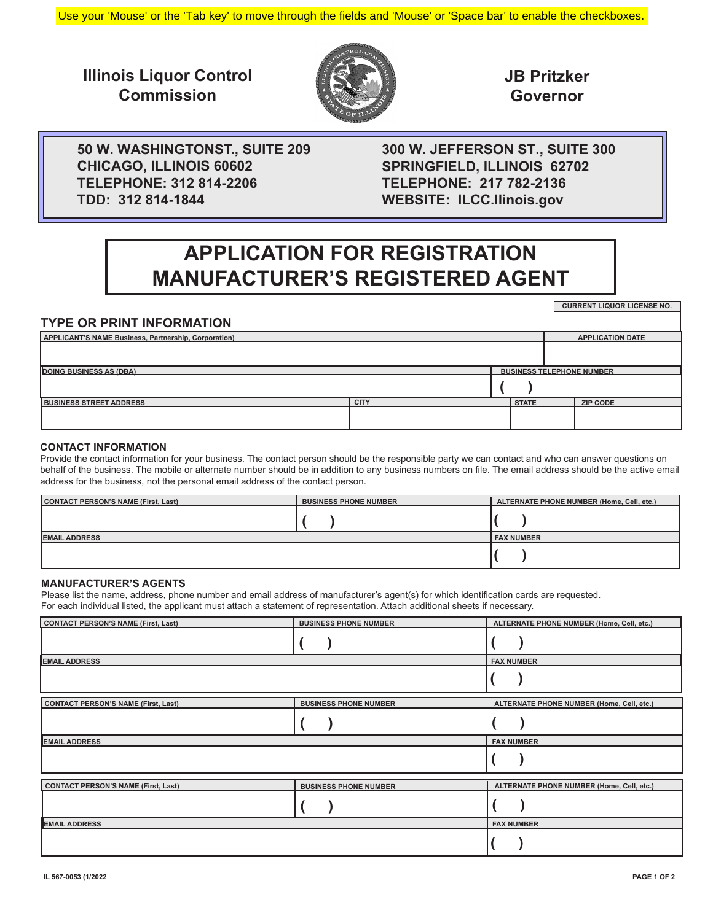Use your 'Mouse' or the 'Tab key' to move through the fields and 'Mouse' or 'Space bar' to enable the checkboxes.

**Illinois Liquor Control Commission**



**JB Pritzker Governor**

**CURRENT LIQUOR LICENSE NO.**

**APPLICATION DATE**

**50 W. WASHINGTONST., SUITE 209 CHICAGO, ILLINOIS 60602 TELEPHONE: 312 814-2206 TDD: 312 814-1844**

**300 W. JEFFERSON ST., SUITE 300 SPRINGFIELD, ILLINOIS 62702 TELEPHONE: 217 782-2136 WEBSITE: ILCC.llinois.gov**

# **APPLICATION FOR REGISTRATION MANUFACTURER'S REGISTERED AGENT**

| <b>TYPE OR PRINT INFORMATION</b>                            |
|-------------------------------------------------------------|
| <b>APPLICANT'S NAME Business, Partnership, Corporation)</b> |
|                                                             |

| <b>DOING BUSINESS AS (DBA)</b> | <b>BUSINESS TELEPHONE NUMBER</b> |              |                 |
|--------------------------------|----------------------------------|--------------|-----------------|
|                                |                                  |              |                 |
| <b>BUSINESS STREET ADDRESS</b> | <b>CITY</b>                      | <b>STATE</b> | <b>ZIP CODE</b> |
|                                |                                  |              |                 |

### **CONTACT INFORMATION**

Provide the contact information for your business. The contact person should be the responsible party we can contact and who can answer questions on behalf of the business. The mobile or alternate number should be in addition to any business numbers on file. The email address should be the active email address for the business, not the personal email address of the contact person.

| CONTACT PERSON'S NAME (First, Last) | <b>BUSINESS PHONE NUMBER</b> | ALTERNATE PHONE NUMBER (Home, Cell, etc.) |
|-------------------------------------|------------------------------|-------------------------------------------|
|                                     |                              |                                           |
| <b>EMAIL ADDRESS</b>                | <b>FAX NUMBER</b>            |                                           |
|                                     |                              |                                           |

### **MANUFACTURER'S AGENTS**

Please list the name, address, phone number and email address of manufacturer's agent(s) for which identification cards are requested. For each individual listed, the applicant must attach a statement of representation. Attach additional sheets if necessary.

| CONTACT PERSON'S NAME (First, Last)        | <b>BUSINESS PHONE NUMBER</b> | ALTERNATE PHONE NUMBER (Home, Cell, etc.) |
|--------------------------------------------|------------------------------|-------------------------------------------|
|                                            |                              |                                           |
| <b>EMAIL ADDRESS</b>                       |                              | <b>FAX NUMBER</b>                         |
|                                            |                              |                                           |
| <b>CONTACT PERSON'S NAME (First, Last)</b> | <b>BUSINESS PHONE NUMBER</b> | ALTERNATE PHONE NUMBER (Home, Cell, etc.) |
|                                            |                              |                                           |
| <b>EMAIL ADDRESS</b>                       | <b>FAX NUMBER</b>            |                                           |
|                                            |                              |                                           |
| CONTACT PERSON'S NAME (First, Last)        | <b>BUSINESS PHONE NUMBER</b> | ALTERNATE PHONE NUMBER (Home, Cell, etc.) |
|                                            |                              |                                           |
| <b>EMAIL ADDRESS</b>                       | <b>FAX NUMBER</b>            |                                           |
|                                            |                              |                                           |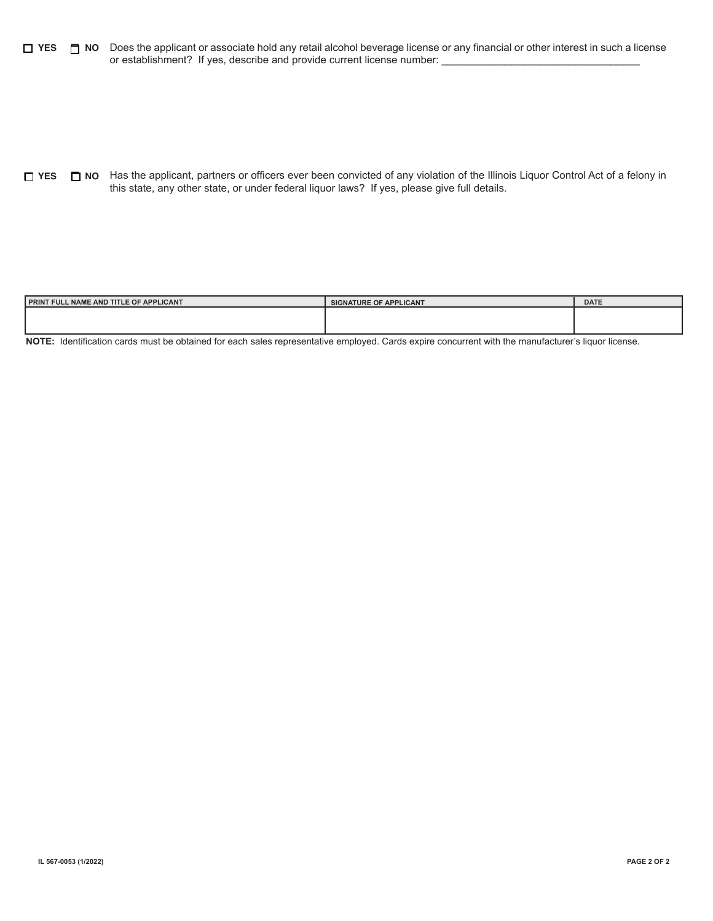$\Box$  NO Does the applicant or associate hold any retail alcohol beverage license or any financial or other interest in such a license or establishment? If yes, describe and provide current license number: **YES NO**

Has the applicant, partners or officers ever been convicted of any violation of the Illinois Liquor Control Act of a felony in **YES NO** this state, any other state, or under federal liquor laws? If yes, please give full details.

| <b>I PRINT FULL NAME AND TITLE OF APPLICANT</b> | <b>SIGNATURE OF APPLICANT</b> | <b>DATE</b> |
|-------------------------------------------------|-------------------------------|-------------|
|                                                 |                               |             |
|                                                 |                               |             |

**NOTE:** Identification cards must be obtained for each sales representative employed. Cards expire concurrent with the manufacturer's liquor license.